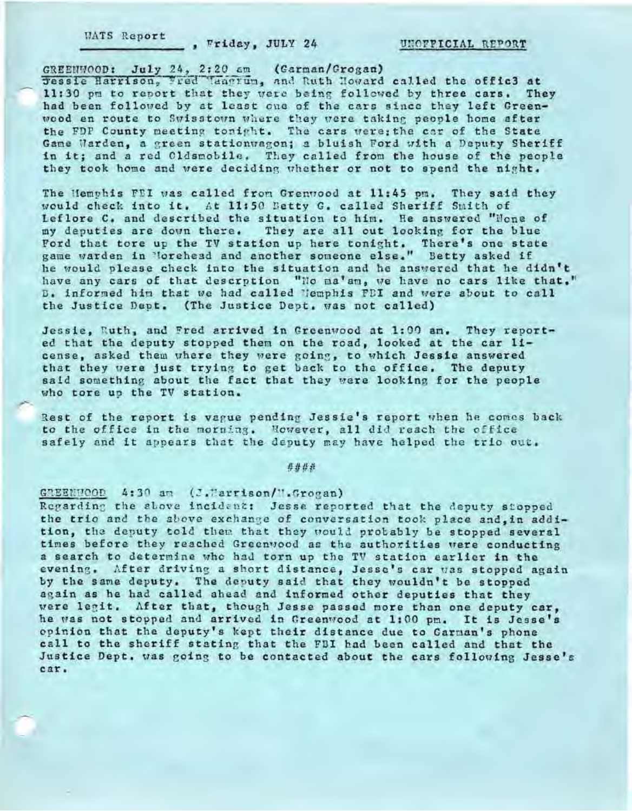**WATS Report** , Wriday, JULY 24

UNOFFICIAL REPORT

GREENWOOD: July 24, 2:20 am (Garman/Grogan) Jessie Harrison, Fred Taagrum, and Ruth Howard called the offic3 at 11:30 pm to report that they were being followed by three cars. They had been followed by at least one of the cars since they left Greenwood en route to Swisstown where they were taking people home after the FDP County meeting tonight. The cars were; the car of the State Game Warden, a green stationwagon; a bluish Ford with a Deputy Sheriff in it; and a red Cldsmobile. They called from the house of the people they took home and were deciding whether or not to spend the night.

The Hemphis FEI was called from Grenwood at 11:45 pm. They said they would check into it. At 11:50 Betty G. called Sheriff Smith of Leflore C. and described the situation to him. He answered "None of my deputies are down there. They are all out looking for the blue Ford that tore up the TV station up here tonight. There's one state game warden in Norehead and another someone else." Betty asked if he would please check into the situation and he answered that he didn't have any cars of that descrption "Ho ma'am, we have no cars like that." D. informed him that we had called lemphis FDI and were about to call the Justice Dept. (The Justice Dept. was not called)

Jessie, Ruth, and Fred arrived in Greenwood at 1:00 am. They reported that the deputy stopped them on the road, looked at the car license, asked them where they were going, to which Jessie answered that they were just trying to get back to the office. The deputy said something about the fact that they were looking for the people who tore up the TV station.

Rest of the report is vague pending Jessie's report when he comes back to the office in the morning. Nowever, all did reach the office safely and it appears that the deputy may have helped the trio out.

井井井井

GREENWOOD 4:30 am (J.Marrison/W.Grogan)

Regarding the above incident: Jesse reported that the deputy stopped the trio and the above exchange of conversation took place and, in addition, the deputy told them that they would probably be stopped several times before they reached Greenwood as the authorities were conducting a search to determine who had torn up the TV station earlier in the evening. After driving a short distance, Jesse's car was stopped again by the same deputy. The deputy said that they wouldn't be stopped again as he had called ahead and informed other deputies that they were legit. After that, though Jesse passed more than one deputy car, he was not stopped and arrived in Greenwood at 1:00 pm. It is Jesse's opinion that the deputy's kept their distance due to Carman's phone call to the sheriff stating that the FBI had been called and that the Justice Dept, was going to be contacted about the cars following Jesse's car.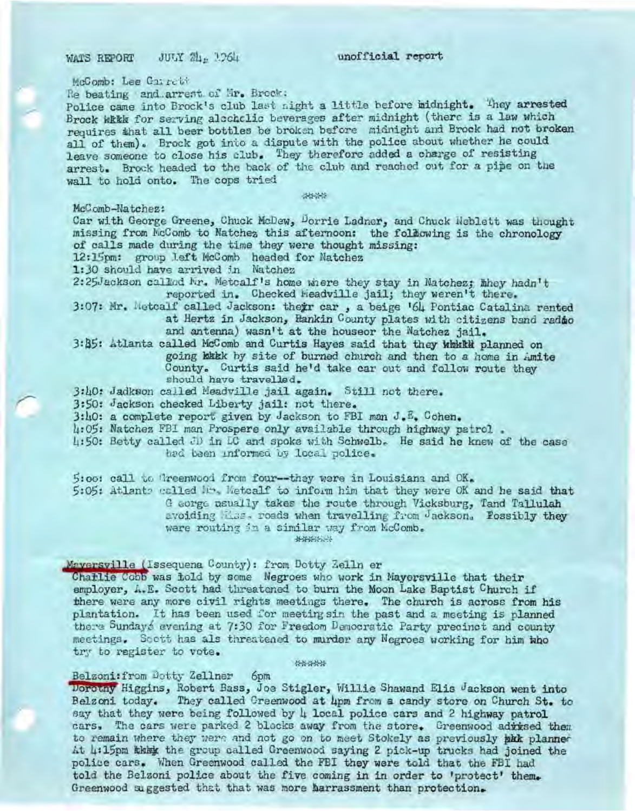WATS REPORT JULY 24 1964

unofficial report

McComb: Lee Carrett

Re beating and arrest of Mr. Brock:

Police came into Brock's club last night a little before midnight. They arrested Brock with for serving alcoholic beverages after midnight (there is a law which requires that all beer bottles be broken before midnight and Brock had not broken all of them). Brock got into a dispute with the police about whether he could leave someone to close his club. They therefore added a charge of resisting arrest. Brock headed to the back of the club and reached out for a pipe on the wall to hold onto. The cops tried

44,445

McComb-Natchez:

Car with George Greene, Chuck McDew, Dorrie Ladner, and Chuck Neblett was thought missing from McComb to Natchez this afternoon: the following is the chronology of calls made during the time they were thought missing:

12:15pm: group left McComb headed for Natchez

1:30 should have arrived in Natchez

2:25Jackson called Nr. Metcalf's home where they stay in Natchez; hhey hadn't reported in. Checked Weadville jail; they weren't there.

3:07: Mr. Metcalf called Jackson: their car, a beige '64 Pontiac Catalina rented at Hertz in Jackson, Hankin County plates with citizens band radio and antenna) wasn't at the houseor the Natchez jail.

3:85: Atlanta called McComb and Curtis Hayes said that they which planned on going bakk by site of burned church and then to a home in Amite County. Curtis said he'd take car out and follow route they should have travelled.

3:40: Jadkwon called Meadville jail again. Still not there.

3:50: Jackson checked Liberty jail: not there.

3:40: a complete report given by Jackson to FBI man J.E. Cohen.

4:05: Natchez FBI man Prospere only available through highway patrol.

4:50: Betty called JD in LC and spoke with Schwelb. He said he knew of the case had been informed by local police.

5:00: call to Greenwood from four--they were in Louisiana and OK.

5:05: Atlants called Mr. Metcalf to inform him that they were OK and he said that G corge usually takes the route through Vicksburg, Tand Tallulah avoiding Mas. roads when travelling from Jackson. Fossibly they were routing in a similar way from McComb. 44444444

Maversville (Issequena County): from Dotty Zelln er

Chaflie Coob was hold by some Negroes who work in Mayersville that their employer, A.E. Scott had threatened to burn the Moon Lake Baptist Church if there were any more civil rights meetings there. The church is across from his plantation. It has been used for meeting sin the past and a meeting is planned there Sundays evening at 7:30 for Freedom Democratic Party precinct and county meetings. Soott has als threatened to murder any Negroes working for him who try to register to vote.

**SCALISMAN** 

### Belzoni: from Dotty Zellner 6pm

Dorothy Higgins, Robert Bass, Joe Stigler, Willie Shawand Elis Jackson went into Belzoni today. They called Creenwood at hpm from a candy store on Church St. to say that they were being followed by 4 local police cars and 2 highway patrol cars. The cars were parked 2 blocks away from the store. Greenwood adrised them to remain where they were and not go on to meet Stokely as previously skk planned At 4:15pm the group called Greenwood saying 2 pick-up trucks had joined the police cars. When Greenwood called the FBI they were told that the FBI had told the Belzoni police about the five coming in in order to 'protect' them. Greenwood suggested that that was more harrassment than protection.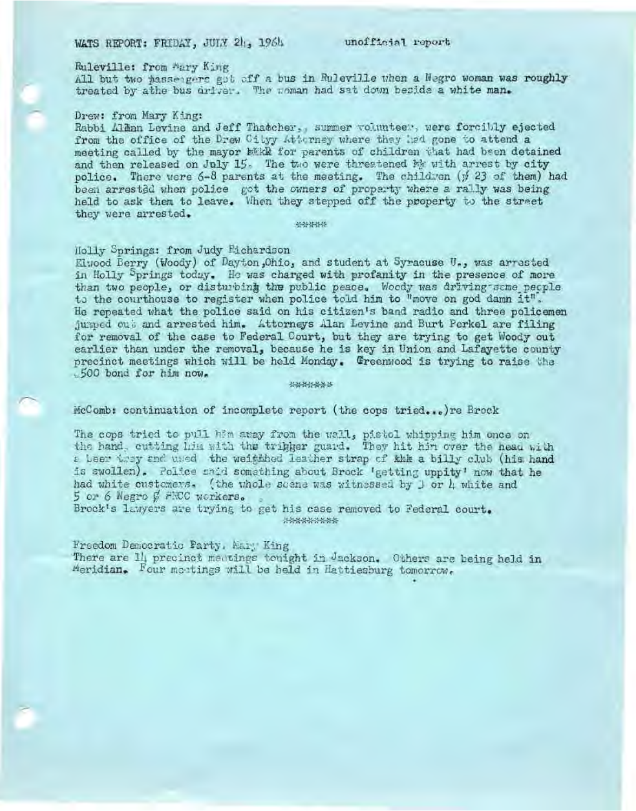# WATS REPORT: FRIDAY, JULY 21, 1964

unofficial report

## Ruleville: from Mary King

All but two passengers got off a bus in Ruleville when a Negro woman was roughly treated by athe bus driver. The noman had sat down beside a white man.

#### Drew: from Mary King:

Rabbi Allan Levine and Jeff Thatcher,, summer volunteey, were forcibly ejected from the office of the Drew Cityy Attorney where they had gone to attend a meeting called by the mayor bikk for parents of children that had been detained and then released on July 15. The two were threatened by with arrest by city police. There were 6-8 parents at the meeting. The children (# 23 of them) had been arrested when police got the owners of property where a rally was being held to ask them to leave. When they stepped off the property to the street they were arrested.

41-00-30-30-30

### Holly Springs: from Judy Eichardson

Eluood Berry (Woody) of Dayton, Ohio, and student at Syracuse U., was arrested in Holly Springs today. He was charged with profanity in the presence of more than two people, or disturbing the public peace. Woody was driving same people to the courthouse to register when police told him to "move on god damn it". He repeated what the police said on his citizen's band radio and three policemen jumped out and arrested him. Attorneys Alan Levine and Burt Perkel are filing for removal of the case to Federal Court, but they are trying to get Woody out earlier than under the removal, because he is key in Union and Lafayette county precinct meetings which will be held Monday. Greenwood is trying to raise the .500 bond for him now.

\*\*\*\*\*\*\*

## McComb: continuation of incomplete report (the cops tried...) re Brock

The cops tried to pull him away from the wall, pistol whipping him once on the hand, cutting him with the tribber guard. They hit him over the nead with a been they and used the weithhed leather strap of kkk a billy club (his hand is swollen). Police said something about Brock 'getting uppity' now that he had white customers. (the uhole scene was witnessed by  $J$  or  $h$  white and 5 or 6 Negro & FEC workers.

Brock's lawyers are trying to get his case removed to Federal court. \*\*\*\*\*\*\*\*\*

Freedom Democratic Party, Mary King There are Il precinct meatings touight in Jackson. Others are being held in Meridian. Four meetings will be held in Hattiesburg tomorrow.